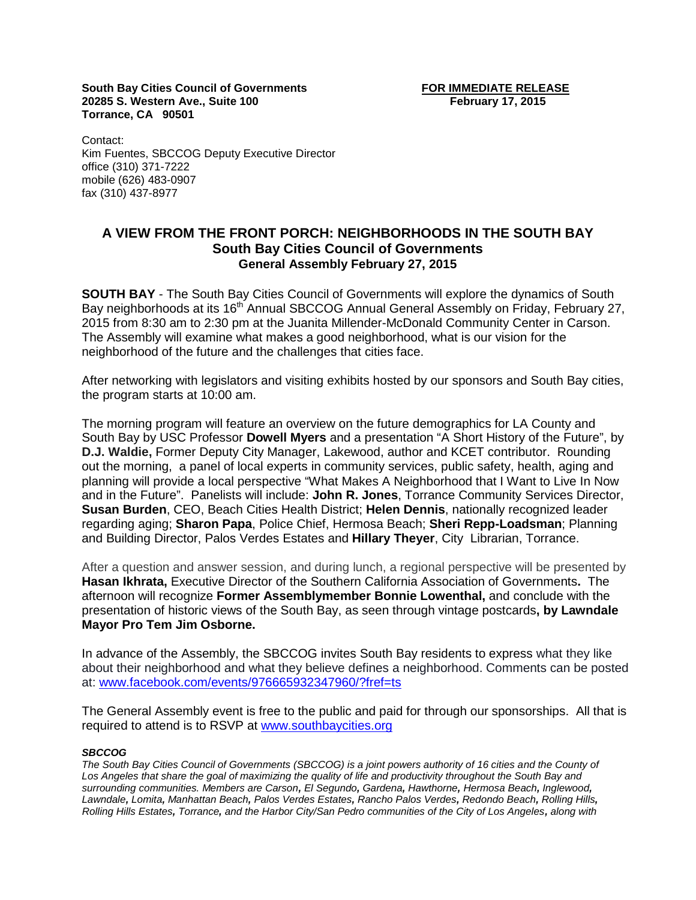**South Bay Cities Council of Governments FOR IMMEDIATE RELEASE 20285 S. Western Ave., Suite 100 February 17, 2015 Torrance, CA 90501**

Contact: Kim Fuentes, SBCCOG Deputy Executive Director office (310) 371-7222 mobile (626) 483-0907 fax (310) 437-8977

## **A VIEW FROM THE FRONT PORCH: NEIGHBORHOODS IN THE SOUTH BAY South Bay Cities Council of Governments General Assembly February 27, 2015**

**SOUTH BAY** - The South Bay Cities Council of Governments will explore the dynamics of South Bay neighborhoods at its 16<sup>th</sup> Annual SBCCOG Annual General Assembly on Friday, February 27, 2015 from 8:30 am to 2:30 pm at the Juanita Millender-McDonald Community Center in Carson. The Assembly will examine what makes a good neighborhood, what is our vision for the neighborhood of the future and the challenges that cities face.

After networking with legislators and visiting exhibits hosted by our sponsors and South Bay cities, the program starts at 10:00 am.

The morning program will feature an overview on the future demographics for LA County and South Bay by USC Professor **Dowell Myers** and a presentation "A Short History of the Future", by **D.J. Waldie,** Former Deputy City Manager, Lakewood, author and KCET contributor. Rounding out the morning, a panel of local experts in community services, public safety, health, aging and planning will provide a local perspective "What Makes A Neighborhood that I Want to Live In Now and in the Future". Panelists will include: **John R. Jones**, Torrance Community Services Director, **Susan Burden**, CEO, Beach Cities Health District; **Helen Dennis**, nationally recognized leader regarding aging; **Sharon Papa**, Police Chief, Hermosa Beach; **Sheri Repp-Loadsman**; Planning and Building Director, Palos Verdes Estates and **Hillary Theyer**, City Librarian, Torrance.

After a question and answer session, and during lunch, a regional perspective will be presented by **Hasan Ikhrata,** Executive Director of the Southern California Association of Governments**.** The afternoon will recognize **Former Assemblymember Bonnie Lowenthal,** and conclude with the presentation of historic views of the South Bay, as seen through vintage postcards**, by Lawndale Mayor Pro Tem Jim Osborne.**

In advance of the Assembly, the SBCCOG invites South Bay residents to express what they like about their neighborhood and what they believe defines a neighborhood. Comments can be posted at: [www.facebook.com/events/976665932347960/?fref=ts](http://www.facebook.com/events/976665932347960/?fref=ts)

The General Assembly event is free to the public and paid for through our sponsorships. All that is required to attend is to RSVP at [www.southbaycities.org](http://www.southbaycities.org/)

## *SBCCOG*

The South Bay Cities Council of Governments (SBCCOG) is a joint powers authority of 16 cities and the County of Los Angeles that share the goal of maximizing the quality of life and productivity throughout the South Bay and *surrounding communities. Members are Carson, El Segundo, Gardena, Hawthorne, Hermosa Beach, Inglewood,* Lawndale, Lomita, Manhattan Beach, Palos Verdes Estates, Rancho Palos Verdes, Redondo Beach, Rolling Hills, Rolling Hills Estates, Torrance, and the Harbor City/San Pedro communities of the City of Los Angeles, along with